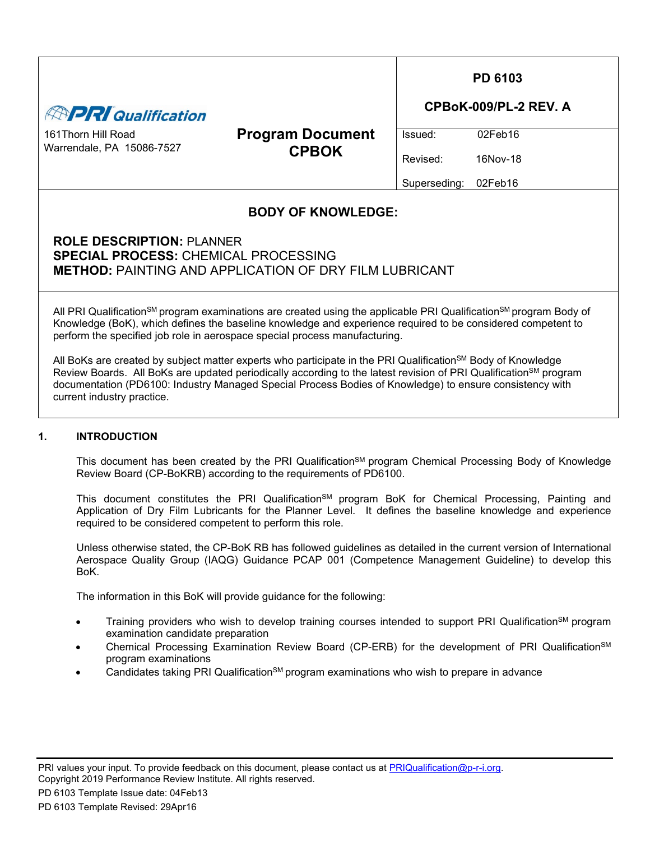| <b>APRI Qualification</b>                                                       |                                                                                                                                                                                                                                                                                                                                                                    | <b>PD 6103</b><br>CPBoK-009/PL-2 REV. A |                     |  |
|---------------------------------------------------------------------------------|--------------------------------------------------------------------------------------------------------------------------------------------------------------------------------------------------------------------------------------------------------------------------------------------------------------------------------------------------------------------|-----------------------------------------|---------------------|--|
| 161Thorn Hill Road<br>Warrendale, PA 15086-7527                                 | <b>Program Document</b><br><b>CPBOK</b>                                                                                                                                                                                                                                                                                                                            | Issued:<br>Revised:                     | 02Feb16<br>16Nov-18 |  |
|                                                                                 |                                                                                                                                                                                                                                                                                                                                                                    | Superseding:                            | 02Feb16             |  |
|                                                                                 | <b>BODY OF KNOWLEDGE:</b>                                                                                                                                                                                                                                                                                                                                          |                                         |                     |  |
| <b>ROLE DESCRIPTION: PLANNER</b><br><b>SPECIAL PROCESS: CHEMICAL PROCESSING</b> | <b>METHOD: PAINTING AND APPLICATION OF DRY FILM LUBRICANT</b>                                                                                                                                                                                                                                                                                                      |                                         |                     |  |
|                                                                                 | All PRI Qualification <sup>SM</sup> program examinations are created using the applicable PRI Qualification <sup>SM</sup> program Body of<br>Knowledge (BoK), which defines the baseline knowledge and experience required to be considered competent to<br>perform the specified job role in aerospace special process manufacturing.                             |                                         |                     |  |
| current industry practice.                                                      | All BoKs are created by subject matter experts who participate in the PRI Qualification <sup>SM</sup> Body of Knowledge<br>Review Boards. All BoKs are updated periodically according to the latest revision of PRI Qualification <sup>SM</sup> program<br>documentation (PD6100: Industry Managed Special Process Bodies of Knowledge) to ensure consistency with |                                         |                     |  |
| <b>INTRODUCTION</b><br>1.                                                       |                                                                                                                                                                                                                                                                                                                                                                    |                                         |                     |  |

This document has been created by the PRI Qualification<sup>SM</sup> program Chemical Processing Body of Knowledge Review Board (CP-BoKRB) according to the requirements of PD6100.

This document constitutes the PRI Qualification<sup>SM</sup> program BoK for Chemical Processing, Painting and Application of Dry Film Lubricants for the Planner Level. It defines the baseline knowledge and experience required to be considered competent to perform this role.

Unless otherwise stated, the CP-BoK RB has followed guidelines as detailed in the current version of International Aerospace Quality Group (IAQG) Guidance PCAP 001 (Competence Management Guideline) to develop this BoK.

The information in this BoK will provide guidance for the following:

- Training providers who wish to develop training courses intended to support PRI Qualification<sup>SM</sup> program examination candidate preparation
- Chemical Processing Examination Review Board (CP-ERB) for the development of PRI Qualification<sup>SM</sup> program examinations
- Candidates taking PRI Qualification<sup>SM</sup> program examinations who wish to prepare in advance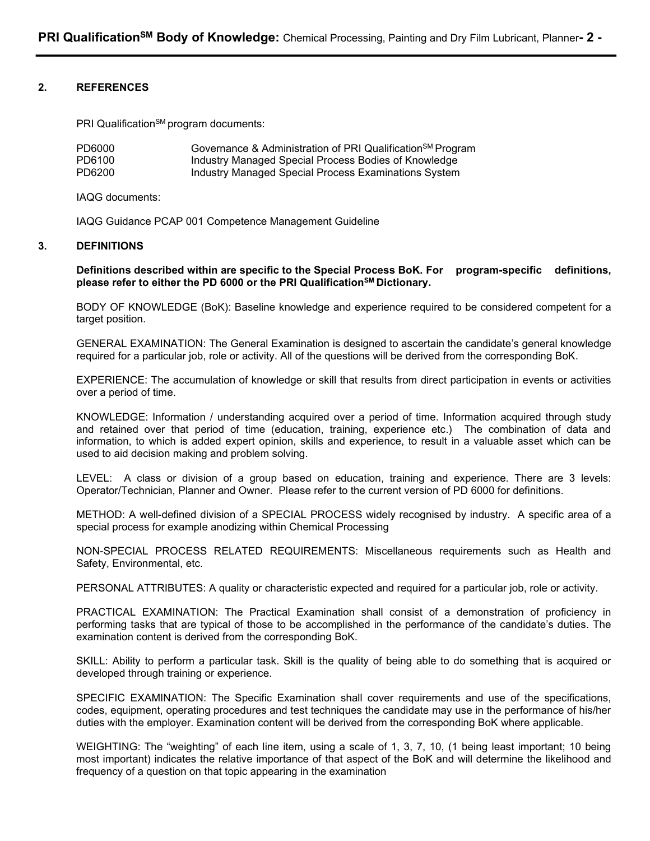### **2. REFERENCES**

PRI Qualification<sup>SM</sup> program documents:

| PD6000 | Governance & Administration of PRI Qualification <sup>SM</sup> Program |
|--------|------------------------------------------------------------------------|
| PD6100 | Industry Managed Special Process Bodies of Knowledge                   |
| PD6200 | Industry Managed Special Process Examinations System                   |

IAQG documents:

IAQG Guidance PCAP 001 Competence Management Guideline

#### **3. DEFINITIONS**

**Definitions described within are specific to the Special Process BoK. For program-specific definitions,**  please refer to either the PD 6000 or the PRI Qualification<sup>SM</sup> Dictionary.

BODY OF KNOWLEDGE (BoK): Baseline knowledge and experience required to be considered competent for a target position.

GENERAL EXAMINATION: The General Examination is designed to ascertain the candidate's general knowledge required for a particular job, role or activity. All of the questions will be derived from the corresponding BoK.

EXPERIENCE: The accumulation of knowledge or skill that results from direct participation in events or activities over a period of time.

KNOWLEDGE: Information / understanding acquired over a period of time. Information acquired through study and retained over that period of time (education, training, experience etc.) The combination of data and information, to which is added expert opinion, skills and experience, to result in a valuable asset which can be used to aid decision making and problem solving.

LEVEL: A class or division of a group based on education, training and experience. There are 3 levels: Operator/Technician, Planner and Owner. Please refer to the current version of PD 6000 for definitions.

METHOD: A well-defined division of a SPECIAL PROCESS widely recognised by industry. A specific area of a special process for example anodizing within Chemical Processing

NON-SPECIAL PROCESS RELATED REQUIREMENTS: Miscellaneous requirements such as Health and Safety, Environmental, etc.

PERSONAL ATTRIBUTES: A quality or characteristic expected and required for a particular job, role or activity.

PRACTICAL EXAMINATION: The Practical Examination shall consist of a demonstration of proficiency in performing tasks that are typical of those to be accomplished in the performance of the candidate's duties. The examination content is derived from the corresponding BoK.

SKILL: Ability to perform a particular task. Skill is the quality of being able to do something that is acquired or developed through training or experience.

SPECIFIC EXAMINATION: The Specific Examination shall cover requirements and use of the specifications, codes, equipment, operating procedures and test techniques the candidate may use in the performance of his/her duties with the employer. Examination content will be derived from the corresponding BoK where applicable.

WEIGHTING: The "weighting" of each line item, using a scale of 1, 3, 7, 10, (1 being least important; 10 being most important) indicates the relative importance of that aspect of the BoK and will determine the likelihood and frequency of a question on that topic appearing in the examination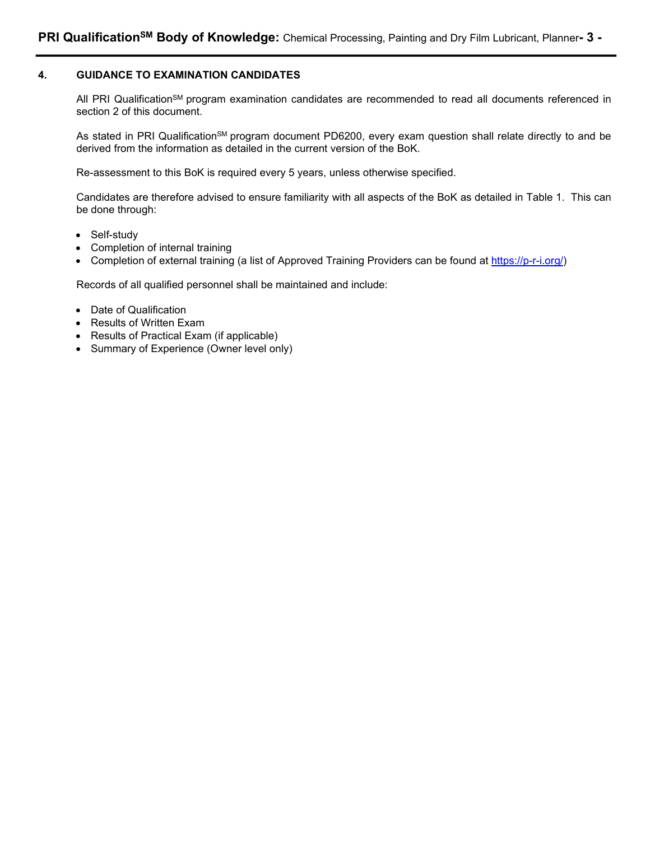### **4. GUIDANCE TO EXAMINATION CANDIDATES**

All PRI Qualification<sup>SM</sup> program examination candidates are recommended to read all documents referenced in section 2 of this document.

As stated in PRI Qualification<sup>SM</sup> program document PD6200, every exam question shall relate directly to and be derived from the information as detailed in the current version of the BoK.

Re-assessment to this BoK is required every 5 years, unless otherwise specified.

Candidates are therefore advised to ensure familiarity with all aspects of the BoK as detailed in Table 1. This can be done through:

- Self-study
- Completion of internal training
- Completion of external training (a list of Approved Training Providers can be found at https://p-r-i.org/)

Records of all qualified personnel shall be maintained and include:

- Date of Qualification
- Results of Written Exam
- Results of Practical Exam (if applicable)
- Summary of Experience (Owner level only)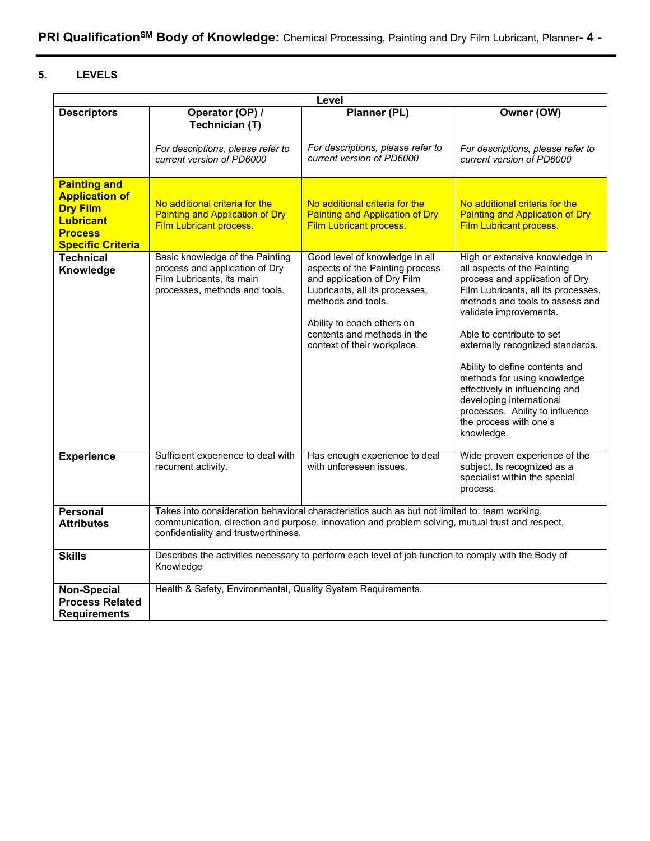# **5. LEVELS**

| Level                                                                                                                             |                                                                                                                                 |                                                                                                                                                                                                                                                      |                                                                                                                                                                                                                                                                                                                                                                                                                                                                                |  |
|-----------------------------------------------------------------------------------------------------------------------------------|---------------------------------------------------------------------------------------------------------------------------------|------------------------------------------------------------------------------------------------------------------------------------------------------------------------------------------------------------------------------------------------------|--------------------------------------------------------------------------------------------------------------------------------------------------------------------------------------------------------------------------------------------------------------------------------------------------------------------------------------------------------------------------------------------------------------------------------------------------------------------------------|--|
| <b>Descriptors</b>                                                                                                                | Operator (OP) /<br>Technician (T)                                                                                               | Planner (PL)                                                                                                                                                                                                                                         | Owner (OW)                                                                                                                                                                                                                                                                                                                                                                                                                                                                     |  |
|                                                                                                                                   | For descriptions, please refer to<br>current version of PD6000                                                                  | For descriptions, please refer to<br>current version of PD6000                                                                                                                                                                                       | For descriptions, please refer to<br>current version of PD6000                                                                                                                                                                                                                                                                                                                                                                                                                 |  |
| <b>Painting and</b><br><b>Application of</b><br><b>Dry Film</b><br><b>Lubricant</b><br><b>Process</b><br><b>Specific Criteria</b> | No additional criteria for the<br><b>Painting and Application of Dry</b><br>Film Lubricant process.                             | No additional criteria for the<br><b>Painting and Application of Dry</b><br>Film Lubricant process.                                                                                                                                                  | No additional criteria for the<br><b>Painting and Application of Dry</b><br><b>Film Lubricant process.</b>                                                                                                                                                                                                                                                                                                                                                                     |  |
| <b>Technical</b><br>Knowledge                                                                                                     | Basic knowledge of the Painting<br>process and application of Dry<br>Film Lubricants, its main<br>processes, methods and tools. | Good level of knowledge in all<br>aspects of the Painting process<br>and application of Dry Film<br>Lubricants, all its processes,<br>methods and tools.<br>Ability to coach others on<br>contents and methods in the<br>context of their workplace. | High or extensive knowledge in<br>all aspects of the Painting<br>process and application of Dry<br>Film Lubricants, all its processes,<br>methods and tools to assess and<br>validate improvements.<br>Able to contribute to set<br>externally recognized standards.<br>Ability to define contents and<br>methods for using knowledge<br>effectively in influencing and<br>developing international<br>processes. Ability to influence<br>the process with one's<br>knowledge. |  |
| <b>Experience</b>                                                                                                                 | Sufficient experience to deal with<br>recurrent activity.                                                                       | Has enough experience to deal<br>with unforeseen issues.                                                                                                                                                                                             | Wide proven experience of the<br>subject. Is recognized as a<br>specialist within the special<br>process.                                                                                                                                                                                                                                                                                                                                                                      |  |
| <b>Personal</b><br><b>Attributes</b>                                                                                              | confidentiality and trustworthiness.                                                                                            | Takes into consideration behavioral characteristics such as but not limited to: team working,<br>communication, direction and purpose, innovation and problem solving, mutual trust and respect,                                                     |                                                                                                                                                                                                                                                                                                                                                                                                                                                                                |  |
| <b>Skills</b>                                                                                                                     | Knowledge                                                                                                                       | Describes the activities necessary to perform each level of job function to comply with the Body of                                                                                                                                                  |                                                                                                                                                                                                                                                                                                                                                                                                                                                                                |  |
| <b>Non-Special</b><br><b>Process Related</b><br><b>Requirements</b>                                                               | Health & Safety, Environmental, Quality System Requirements.                                                                    |                                                                                                                                                                                                                                                      |                                                                                                                                                                                                                                                                                                                                                                                                                                                                                |  |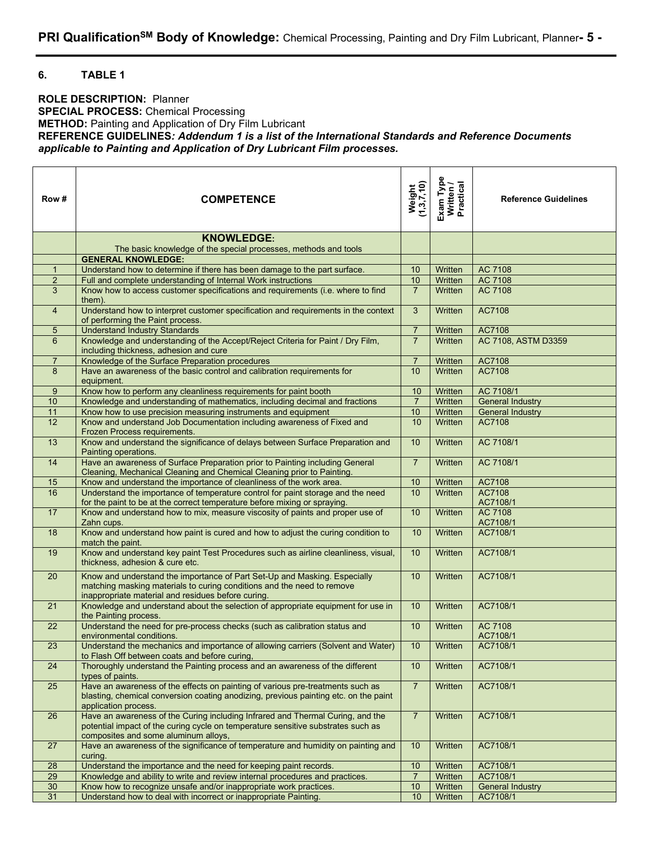### **6. TABLE 1**

**ROLE DESCRIPTION:** Planner **SPECIAL PROCESS:** Chemical Processing **METHOD:** Painting and Application of Dry Film Lubricant **REFERENCE GUIDELINES***: Addendum 1 is a list of the International Standards and Reference Documents applicable to Painting and Application of Dry Lubricant Film processes.* 

| Row #           | Weight<br>(1,3,7,10)<br><b>COMPETENCE</b>                                                                                                                                                                  |                                       | Exam Type<br>Written /<br>Practical | <b>Reference Guidelines</b> |  |
|-----------------|------------------------------------------------------------------------------------------------------------------------------------------------------------------------------------------------------------|---------------------------------------|-------------------------------------|-----------------------------|--|
|                 | <b>KNOWLEDGE:</b><br>The basic knowledge of the special processes, methods and tools                                                                                                                       |                                       |                                     |                             |  |
|                 | <b>GENERAL KNOWLEDGE:</b>                                                                                                                                                                                  |                                       |                                     |                             |  |
| 1               | Understand how to determine if there has been damage to the part surface.                                                                                                                                  | 10                                    | Written                             | AC 7108                     |  |
| $\overline{2}$  | Full and complete understanding of Internal Work instructions                                                                                                                                              | 10                                    | Written                             | <b>AC 7108</b>              |  |
| 3               | Know how to access customer specifications and requirements (i.e. where to find<br>them).                                                                                                                  | $\overline{7}$                        | Written                             | AC 7108                     |  |
| $\overline{4}$  | Understand how to interpret customer specification and requirements in the context<br>of performing the Paint process.                                                                                     | 3                                     | Written                             | AC7108                      |  |
| 5               | <b>Understand Industry Standards</b>                                                                                                                                                                       | $\overline{7}$                        | Written                             | AC7108                      |  |
| 6               | Knowledge and understanding of the Accept/Reject Criteria for Paint / Dry Film,<br>including thickness, adhesion and cure                                                                                  | $\overline{7}$                        | Written                             | AC 7108, ASTM D3359         |  |
| $\overline{7}$  | Knowledge of the Surface Preparation procedures                                                                                                                                                            | $\overline{7}$                        | Written                             | AC7108                      |  |
| 8               | Have an awareness of the basic control and calibration requirements for<br>equipment.                                                                                                                      | 10                                    | Written                             | AC7108                      |  |
| 9               | Know how to perform any cleanliness requirements for paint booth                                                                                                                                           | 10                                    | Written                             | AC 7108/1                   |  |
| 10              | Knowledge and understanding of mathematics, including decimal and fractions                                                                                                                                | $\overline{7}$                        | Written                             | <b>General Industry</b>     |  |
| 11              | Know how to use precision measuring instruments and equipment                                                                                                                                              | 10 <sup>1</sup>                       | Written                             | <b>General Industry</b>     |  |
| $\overline{12}$ | Know and understand Job Documentation including awareness of Fixed and<br>Frozen Process requirements.                                                                                                     | 10                                    | Written                             | AC7108                      |  |
| 13              | Know and understand the significance of delays between Surface Preparation and<br>Painting operations.                                                                                                     | 10                                    | Written                             | AC 7108/1                   |  |
| 14              | Have an awareness of Surface Preparation prior to Painting including General<br>Cleaning, Mechanical Cleaning and Chemical Cleaning prior to Painting.                                                     | $\overline{7}$                        | Written                             | AC 7108/1                   |  |
| 15              | Know and understand the importance of cleanliness of the work area.                                                                                                                                        | 10 <sup>1</sup>                       | Written                             | AC7108                      |  |
| 16              | Understand the importance of temperature control for paint storage and the need<br>for the paint to be at the correct temperature before mixing or spraying.                                               | 10                                    | Written                             | AC7108<br>AC7108/1          |  |
| 17              | Know and understand how to mix, measure viscosity of paints and proper use of<br>Zahn cups.                                                                                                                | 10                                    | Written                             | AC 7108<br>AC7108/1         |  |
| 18              | Know and understand how paint is cured and how to adjust the curing condition to<br>match the paint.                                                                                                       | 10                                    | Written                             | AC7108/1                    |  |
| 19              | Know and understand key paint Test Procedures such as airline cleanliness, visual,<br>thickness, adhesion & cure etc.                                                                                      | 10                                    | Written                             | AC7108/1                    |  |
| 20              | Know and understand the importance of Part Set-Up and Masking. Especially<br>matching masking materials to curing conditions and the need to remove<br>inappropriate material and residues before curing.  | 10                                    | Written                             | AC7108/1                    |  |
| 21              | Knowledge and understand about the selection of appropriate equipment for use in<br>the Painting process.                                                                                                  | 10                                    | Written                             | AC7108/1                    |  |
| 22              | Understand the need for pre-process checks (such as calibration status and<br>environmental conditions.                                                                                                    | 10                                    | Written                             | AC 7108<br>AC7108/1         |  |
| 23              | Understand the mechanics and importance of allowing carriers (Solvent and Water)<br>to Flash Off between coats and before curing,                                                                          | $\overline{10}$                       | Written                             | AC7108/1                    |  |
| 24              | Thoroughly understand the Painting process and an awareness of the different<br>types of paints.                                                                                                           | 10                                    | Written                             | AC7108/1                    |  |
| 25              | Have an awareness of the effects on painting of various pre-treatments such as<br>blasting, chemical conversion coating anodizing, previous painting etc. on the paint<br>application process.             | $\overline{7}$                        | Written                             | AC7108/1                    |  |
| 26              | Have an awareness of the Curing including Infrared and Thermal Curing, and the<br>potential impact of the curing cycle on temperature sensitive substrates such as<br>composites and some aluminum alloys, | $\overline{7}$<br>AC7108/1<br>Written |                                     |                             |  |
| 27              | Have an awareness of the significance of temperature and humidity on painting and<br>curing.                                                                                                               | 10                                    | Written                             | AC7108/1                    |  |
| 28              | Understand the importance and the need for keeping paint records.                                                                                                                                          | 10                                    | Written                             | AC7108/1                    |  |
| 29              | Knowledge and ability to write and review internal procedures and practices.                                                                                                                               | $\overline{7}$                        | Written                             | AC7108/1                    |  |
| 30              | Know how to recognize unsafe and/or inappropriate work practices.                                                                                                                                          | 10                                    | Written                             | <b>General Industry</b>     |  |
| 31              | Understand how to deal with incorrect or inappropriate Painting.                                                                                                                                           | 10                                    | Written                             | AC7108/1                    |  |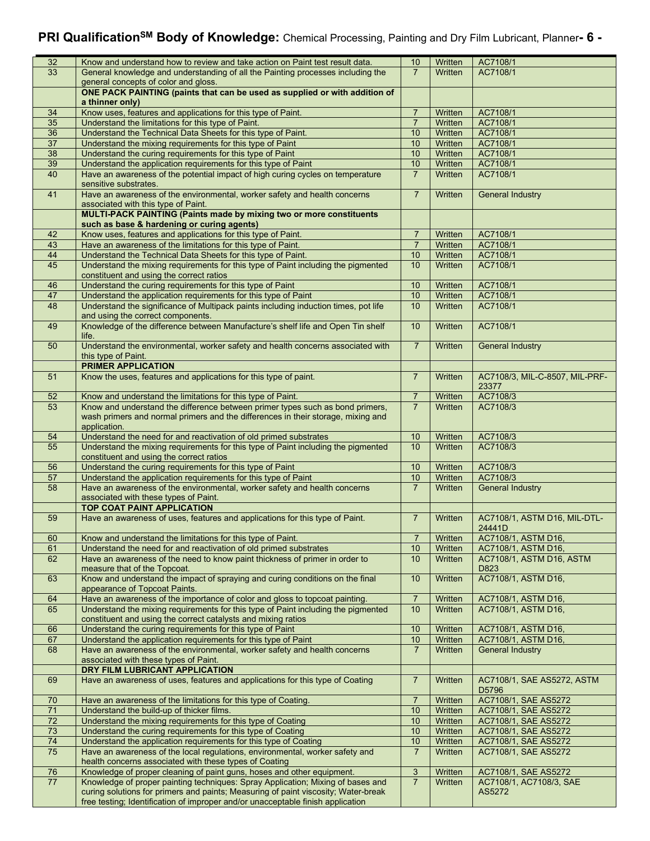# **PRI QualificationSM Body of Knowledge:** Chemical Processing, Painting and Dry Film Lubricant, Planner**- 6 -**

| 32              | Know and understand how to review and take action on Paint test result data.                                                                                          | 10             | Written | AC7108/1                       |  |
|-----------------|-----------------------------------------------------------------------------------------------------------------------------------------------------------------------|----------------|---------|--------------------------------|--|
| $\overline{33}$ | General knowledge and understanding of all the Painting processes including the                                                                                       | $\overline{7}$ | Written | AC7108/1                       |  |
|                 | general concepts of color and gloss.                                                                                                                                  |                |         |                                |  |
|                 |                                                                                                                                                                       |                |         |                                |  |
|                 | ONE PACK PAINTING (paints that can be used as supplied or with addition of                                                                                            |                |         |                                |  |
|                 | a thinner only)                                                                                                                                                       |                |         |                                |  |
| 34              | Know uses, features and applications for this type of Paint.                                                                                                          | 7              | Written | AC7108/1                       |  |
| 35              | Understand the limitations for this type of Paint.                                                                                                                    | $\overline{7}$ | Written | AC7108/1                       |  |
|                 |                                                                                                                                                                       |                | Written |                                |  |
| 36              | Understand the Technical Data Sheets for this type of Paint.                                                                                                          | 10             |         | AC7108/1                       |  |
| 37              | Understand the mixing requirements for this type of Paint                                                                                                             | 10             | Written | AC7108/1                       |  |
| 38              | Understand the curing requirements for this type of Paint                                                                                                             | 10             | Written | AC7108/1                       |  |
| 39              | Understand the application requirements for this type of Paint                                                                                                        | 10             | Written | AC7108/1                       |  |
|                 |                                                                                                                                                                       |                |         |                                |  |
| 40              | Have an awareness of the potential impact of high curing cycles on temperature<br>sensitive substrates.                                                               | $\overline{7}$ | Written | AC7108/1                       |  |
| 41              | Have an awareness of the environmental, worker safety and health concerns<br>associated with this type of Paint.                                                      | $\overline{7}$ | Written | <b>General Industry</b>        |  |
|                 | MULTI-PACK PAINTING (Paints made by mixing two or more constituents                                                                                                   |                |         |                                |  |
|                 | such as base & hardening or curing agents)                                                                                                                            |                |         |                                |  |
| 42              | Know uses, features and applications for this type of Paint.                                                                                                          | $\overline{7}$ | Written | AC7108/1                       |  |
| 43              | Have an awareness of the limitations for this type of Paint.                                                                                                          | $\overline{7}$ | Written | AC7108/1                       |  |
| 44              | Understand the Technical Data Sheets for this type of Paint.                                                                                                          | 10             | Written | AC7108/1                       |  |
|                 |                                                                                                                                                                       |                |         |                                |  |
| 45              | Understand the mixing requirements for this type of Paint including the pigmented<br>constituent and using the correct ratios                                         | 10             | Written | AC7108/1                       |  |
| 46              | Understand the curing requirements for this type of Paint                                                                                                             | 10             | Written | AC7108/1                       |  |
| 47              | Understand the application requirements for this type of Paint                                                                                                        | 10             | Written | AC7108/1                       |  |
|                 |                                                                                                                                                                       |                |         |                                |  |
| 48              | Understand the significance of Multipack paints including induction times, pot life<br>and using the correct components.                                              | 10             | Written | AC7108/1                       |  |
| 49              | Knowledge of the difference between Manufacture's shelf life and Open Tin shelf                                                                                       | 10             | Written | AC7108/1                       |  |
|                 | life.                                                                                                                                                                 |                |         |                                |  |
| 50              | Understand the environmental, worker safety and health concerns associated with<br>this type of Paint.                                                                | $\overline{7}$ | Written | <b>General Industry</b>        |  |
|                 | <b>PRIMER APPLICATION</b>                                                                                                                                             |                |         |                                |  |
|                 |                                                                                                                                                                       |                |         |                                |  |
| 51              | Know the uses, features and applications for this type of paint.                                                                                                      | $\overline{7}$ | Written | AC7108/3, MIL-C-8507, MIL-PRF- |  |
|                 |                                                                                                                                                                       |                |         | 23377                          |  |
| 52              | Know and understand the limitations for this type of Paint.                                                                                                           | $\overline{7}$ | Written | AC7108/3                       |  |
| 53              | Know and understand the difference between primer types such as bond primers,                                                                                         | $\overline{7}$ | Written | AC7108/3                       |  |
|                 |                                                                                                                                                                       |                |         |                                |  |
|                 | wash primers and normal primers and the differences in their storage, mixing and                                                                                      |                |         |                                |  |
|                 | application.                                                                                                                                                          |                |         |                                |  |
| 54              | Understand the need for and reactivation of old primed substrates                                                                                                     | 10             | Written | AC7108/3                       |  |
| 55              | Understand the mixing requirements for this type of Paint including the pigmented                                                                                     | 10             | Written | AC7108/3                       |  |
|                 | constituent and using the correct ratios                                                                                                                              |                |         |                                |  |
|                 |                                                                                                                                                                       | 10             |         |                                |  |
| 56              | Understand the curing requirements for this type of Paint                                                                                                             |                | Written | AC7108/3                       |  |
| 57              | Understand the application requirements for this type of Paint                                                                                                        | 10             | Written | AC7108/3                       |  |
| 58              | Have an awareness of the environmental, worker safety and health concerns                                                                                             | $\overline{7}$ | Written | <b>General Industry</b>        |  |
|                 | associated with these types of Paint.                                                                                                                                 |                |         |                                |  |
|                 | <b>TOP COAT PAINT APPLICATION</b>                                                                                                                                     |                |         |                                |  |
| 59              | Have an awareness of uses, features and applications for this type of Paint.                                                                                          | $\overline{7}$ | Written | AC7108/1, ASTM D16, MIL-DTL-   |  |
|                 |                                                                                                                                                                       |                |         |                                |  |
|                 |                                                                                                                                                                       |                |         | 24441D                         |  |
| 60              | Know and understand the limitations for this type of Paint.                                                                                                           | $\overline{7}$ | Written | AC7108/1, ASTM D16,            |  |
| 61              | Understand the need for and reactivation of old primed substrates                                                                                                     | 10             | Written | AC7108/1, ASTM D16,            |  |
| 62              | Have an awareness of the need to know paint thickness of primer in order to                                                                                           | 10             |         |                                |  |
|                 |                                                                                                                                                                       |                |         |                                |  |
|                 |                                                                                                                                                                       |                | Written | AC7108/1, ASTM D16, ASTM       |  |
|                 | measure that of the Topcoat.                                                                                                                                          |                |         | D823                           |  |
| 63              | Know and understand the impact of spraying and curing conditions on the final                                                                                         | 10             | Written | AC7108/1, ASTM D16,            |  |
|                 | appearance of Topcoat Paints.                                                                                                                                         |                |         |                                |  |
| 64              |                                                                                                                                                                       | $\overline{7}$ |         | AC7108/1, ASTM D16,            |  |
|                 | Have an awareness of the importance of color and gloss to topcoat painting.                                                                                           |                | Written |                                |  |
| 65              | Understand the mixing requirements for this type of Paint including the pigmented                                                                                     | 10             | Written | AC7108/1, ASTM D16,            |  |
|                 | constituent and using the correct catalysts and mixing ratios                                                                                                         |                |         |                                |  |
| 66              | Understand the curing requirements for this type of Paint                                                                                                             | 10             | Written | AC7108/1, ASTM D16,            |  |
| 67              | Understand the application requirements for this type of Paint                                                                                                        | $10$           | Written | AC7108/1, ASTM D16,            |  |
| 68              | Have an awareness of the environmental, worker safety and health concerns                                                                                             | $\overline{7}$ | Written | <b>General Industry</b>        |  |
|                 | associated with these types of Paint.                                                                                                                                 |                |         |                                |  |
|                 |                                                                                                                                                                       |                |         |                                |  |
|                 | DRY FILM LUBRICANT APPLICATION                                                                                                                                        |                |         |                                |  |
| 69              | Have an awareness of uses, features and applications for this type of Coating                                                                                         | $\overline{7}$ | Written | AC7108/1, SAE AS5272, ASTM     |  |
|                 |                                                                                                                                                                       |                |         | D5796                          |  |
| 70              | Have an awareness of the limitations for this type of Coating.                                                                                                        | $\overline{7}$ | Written | AC7108/1, SAE AS5272           |  |
| $\overline{71}$ | Understand the build-up of thicker films.                                                                                                                             | 10             | Written | AC7108/1, SAE AS5272           |  |
|                 |                                                                                                                                                                       |                |         |                                |  |
| 72              | Understand the mixing requirements for this type of Coating                                                                                                           | 10             | Written | AC7108/1, SAE AS5272           |  |
| 73              | Understand the curing requirements for this type of Coating                                                                                                           | 10             | Written | AC7108/1, SAE AS5272           |  |
| 74              | Understand the application requirements for this type of Coating                                                                                                      | $10$           | Written | AC7108/1, SAE AS5272           |  |
| 75              | Have an awareness of the local regulations, environmental, worker safety and                                                                                          | $\overline{7}$ | Written | AC7108/1, SAE AS5272           |  |
|                 | health concerns associated with these types of Coating                                                                                                                |                |         |                                |  |
|                 |                                                                                                                                                                       |                |         |                                |  |
| 76              | Knowledge of proper cleaning of paint guns, hoses and other equipment.                                                                                                | $\mathfrak{S}$ | Written | AC7108/1, SAE AS5272           |  |
| 77              | Knowledge of proper painting techniques: Spray Application; Mixing of bases and                                                                                       | $\overline{7}$ | Written | AC7108/1, AC7108/3, SAE        |  |
|                 | curing solutions for primers and paints; Measuring of paint viscosity; Water-break<br>free testing; Identification of improper and/or unacceptable finish application |                |         | AS5272                         |  |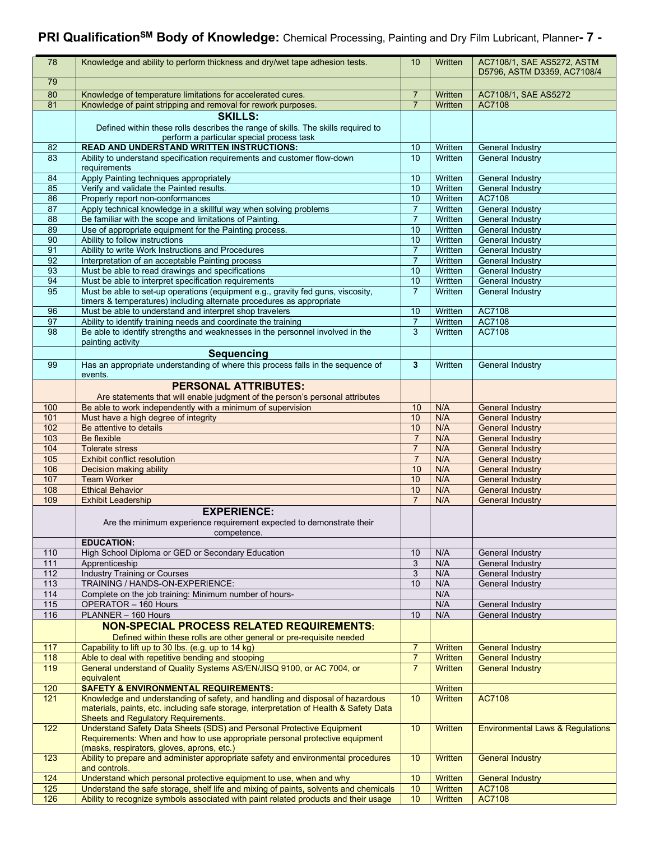# **PRI QualificationSM Body of Knowledge:** Chemical Processing, Painting and Dry Film Lubricant, Planner**- 7 -**

| 78                       | Knowledge and ability to perform thickness and dry/wet tape adhesion tests.                                                                                                                        | 10                               | Written                   | AC7108/1, SAE AS5272, ASTM<br>D5796, ASTM D3359, AC7108/4 |
|--------------------------|----------------------------------------------------------------------------------------------------------------------------------------------------------------------------------------------------|----------------------------------|---------------------------|-----------------------------------------------------------|
| 79                       |                                                                                                                                                                                                    |                                  |                           |                                                           |
| 80                       | Knowledge of temperature limitations for accelerated cures.                                                                                                                                        | $\overline{7}$                   | Written                   | AC7108/1, SAE AS5272                                      |
| 81                       | Knowledge of paint stripping and removal for rework purposes.                                                                                                                                      | $\overline{7}$                   | Written                   | AC7108                                                    |
|                          | <b>SKILLS:</b><br>Defined within these rolls describes the range of skills. The skills required to<br>perform a particular special process task                                                    |                                  |                           |                                                           |
| 82                       | <b>READ AND UNDERSTAND WRITTEN INSTRUCTIONS:</b>                                                                                                                                                   | 10                               | Written                   | General Industry                                          |
| 83                       | Ability to understand specification requirements and customer flow-down<br>requirements                                                                                                            | 10                               | Written                   | <b>General Industry</b>                                   |
| 84                       | Apply Painting techniques appropriately                                                                                                                                                            | 10                               | Written                   | <b>General Industry</b>                                   |
| 85<br>86                 | Verify and validate the Painted results.<br>Properly report non-conformances                                                                                                                       | 10<br>10                         | Written<br>Written        | <b>General Industry</b><br>AC7108                         |
| 87                       | Apply technical knowledge in a skillful way when solving problems                                                                                                                                  | 7                                | Written                   | <b>General Industry</b>                                   |
| 88                       | Be familiar with the scope and limitations of Painting.                                                                                                                                            | $\overline{7}$                   | Written                   | <b>General Industry</b>                                   |
| 89                       | Use of appropriate equipment for the Painting process.                                                                                                                                             | 10                               | Written                   | <b>General Industry</b>                                   |
| 90                       | Ability to follow instructions                                                                                                                                                                     | 10                               | Written                   | General Industry                                          |
| 91                       | Ability to write Work Instructions and Procedures                                                                                                                                                  | $\overline{7}$                   | Written                   | General Industry                                          |
| 92<br>93                 | Interpretation of an acceptable Painting process<br>Must be able to read drawings and specifications                                                                                               | $\overline{7}$<br>10             | Written<br>Written        | General Industry<br><b>General Industry</b>               |
| 94                       | Must be able to interpret specification requirements                                                                                                                                               | 10                               | Written                   | <b>General Industry</b>                                   |
| 95                       | Must be able to set-up operations (equipment e.g., gravity fed guns, viscosity,<br>timers & temperatures) including alternate procedures as appropriate                                            | $\overline{7}$                   | Written                   | <b>General Industry</b>                                   |
| 96                       | Must be able to understand and interpret shop travelers                                                                                                                                            | 10                               | Written                   | AC7108                                                    |
| 97                       | Ability to identify training needs and coordinate the training                                                                                                                                     | $\overline{7}$                   | Written                   | AC7108                                                    |
| 98                       | Be able to identify strengths and weaknesses in the personnel involved in the<br>painting activity                                                                                                 | $\overline{3}$                   | Written                   | AC7108                                                    |
|                          | <b>Sequencing</b>                                                                                                                                                                                  |                                  |                           |                                                           |
| 99                       | Has an appropriate understanding of where this process falls in the sequence of<br>events.                                                                                                         | 3                                | Written                   | <b>General Industry</b>                                   |
|                          | <b>PERSONAL ATTRIBUTES:</b><br>Are statements that will enable judgment of the person's personal attributes                                                                                        |                                  |                           |                                                           |
| 100                      | Be able to work independently with a minimum of supervision                                                                                                                                        | 10                               | N/A                       | <b>General Industry</b>                                   |
| 101                      | Must have a high degree of integrity                                                                                                                                                               | 10                               | N/A                       | <b>General Industry</b>                                   |
| 102                      | Be attentive to details                                                                                                                                                                            | 10                               | N/A                       | <b>General Industry</b>                                   |
| 103<br>104               | Be flexible<br><b>Tolerate stress</b>                                                                                                                                                              | $\overline{7}$<br>$\overline{7}$ | N/A<br>N/A                | <b>General Industry</b><br><b>General Industry</b>        |
| 105                      | <b>Exhibit conflict resolution</b>                                                                                                                                                                 | $\overline{7}$                   | N/A                       | <b>General Industry</b>                                   |
| 106                      | <b>Decision making ability</b>                                                                                                                                                                     | 10                               | N/A                       | <b>General Industry</b>                                   |
| 107                      | <b>Team Worker</b>                                                                                                                                                                                 | 10                               | N/A                       | <b>General Industry</b>                                   |
| 108                      | <b>Ethical Behavior</b>                                                                                                                                                                            | 10                               | N/A                       | <b>General Industry</b>                                   |
| 109                      | <b>Exhibit Leadership</b>                                                                                                                                                                          | $\overline{7}$                   | N/A                       | <b>General Industry</b>                                   |
|                          | <b>EXPERIENCE:</b><br>Are the minimum experience requirement expected to demonstrate their<br>competence.                                                                                          |                                  |                           |                                                           |
| 110                      | <b>EDUCATION:</b><br>High School Diploma or GED or Secondary Education                                                                                                                             | 10                               | N/A                       | General Industry                                          |
| $\overline{111}$         | Apprenticeship                                                                                                                                                                                     | 3                                | N/A                       | General Industry                                          |
| 112                      | <b>Industry Training or Courses</b>                                                                                                                                                                | 3                                | N/A                       | General Industry                                          |
| 113                      | TRAINING / HANDS-ON-EXPERIENCE:                                                                                                                                                                    | 10                               | N/A                       | General Industry                                          |
| $\frac{114}{114}$        | Complete on the job training: Minimum number of hours-                                                                                                                                             |                                  | N/A                       |                                                           |
| $\overline{115}$         | OPERATOR - 160 Hours                                                                                                                                                                               |                                  | N/A                       | General Industry                                          |
| 116                      | PLANNER - 160 Hours                                                                                                                                                                                | 10                               | N/A                       | General Industry                                          |
|                          | <b>NON-SPECIAL PROCESS RELATED REQUIREMENTS:</b><br>Defined within these rolls are other general or pre-requisite needed                                                                           |                                  |                           |                                                           |
| 117                      | Capability to lift up to 30 lbs. (e.g. up to 14 kg)                                                                                                                                                | $\overline{7}$                   | Written                   | <b>General Industry</b>                                   |
| $\frac{118}{118}$<br>119 | Able to deal with repetitive bending and stooping<br>General understand of Quality Systems AS/EN/JISQ 9100, or AC 7004, or                                                                         | $\overline{7}$<br>$\overline{7}$ | Written<br><b>Written</b> | <b>General Industry</b><br><b>General Industry</b>        |
| 120                      | equivalent<br><b>SAFETY &amp; ENVIRONMENTAL REQUIREMENTS:</b>                                                                                                                                      |                                  | Written                   |                                                           |
| 121                      | Knowledge and understanding of safety, and handling and disposal of hazardous                                                                                                                      | 10                               | Written                   | <b>AC7108</b>                                             |
|                          | materials, paints, etc. including safe storage, interpretation of Health & Safety Data<br>Sheets and Regulatory Requirements.                                                                      |                                  |                           |                                                           |
| 122                      | Understand Safety Data Sheets (SDS) and Personal Protective Equipment<br>Requirements: When and how to use appropriate personal protective equipment<br>(masks, respirators, gloves, aprons, etc.) | 10                               | <b>Written</b>            | <b>Environmental Laws &amp; Regulations</b>               |
| 123                      | Ability to prepare and administer appropriate safety and environmental procedures<br>and controls.                                                                                                 | 10                               | Written                   | <b>General Industry</b>                                   |
| 124                      | Understand which personal protective equipment to use, when and why                                                                                                                                | 10                               | Written                   | <b>General Industry</b>                                   |
| $\overline{125}$         | Understand the safe storage, shelf life and mixing of paints, solvents and chemicals                                                                                                               | 10                               | Written                   | AC7108                                                    |
| 126                      | Ability to recognize symbols associated with paint related products and their usage                                                                                                                | 10                               | Written                   | AC7108                                                    |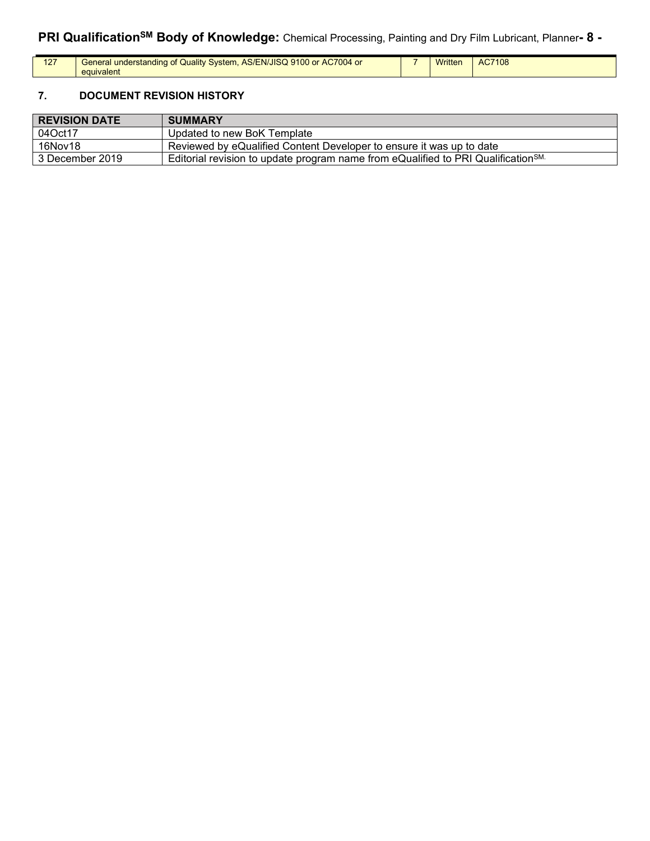# **PRI QualificationSM Body of Knowledge:** Chemical Processing, Painting and Dry Film Lubricant, Planner**- 8 -**

| 127 | General understanding of Quality System, AS/EN/JISQ 9100 or AC7004 or<br>equivalent | Written | AC7108 |
|-----|-------------------------------------------------------------------------------------|---------|--------|
|     |                                                                                     |         |        |

# **7. DOCUMENT REVISION HISTORY**

| <b>REVISION DATE</b> | <b>SUMMARY</b>                                                                                |
|----------------------|-----------------------------------------------------------------------------------------------|
| 04Oct17              | Updated to new BoK Template                                                                   |
| 16Nov18              | Reviewed by eQualified Content Developer to ensure it was up to date                          |
| 3 December 2019      | Editorial revision to update program name from eQualified to PRI Qualification <sup>SM.</sup> |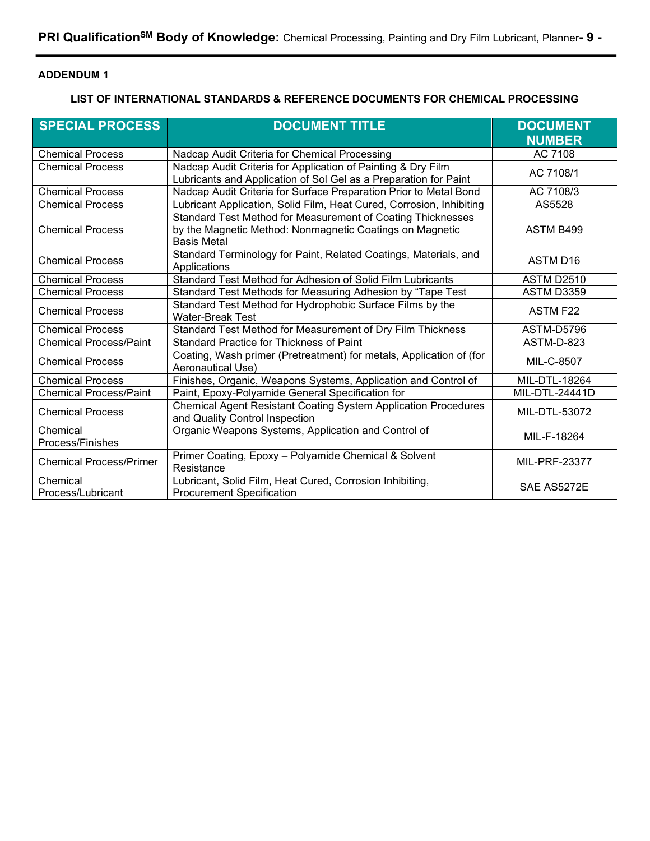## **ADDENDUM 1**

### **LIST OF INTERNATIONAL STANDARDS & REFERENCE DOCUMENTS FOR CHEMICAL PROCESSING**

| <b>SPECIAL PROCESS</b>         | <b>DOCUMENT TITLE</b>                                                                                                                         | <b>DOCUMENT</b><br><b>NUMBER</b> |  |
|--------------------------------|-----------------------------------------------------------------------------------------------------------------------------------------------|----------------------------------|--|
| <b>Chemical Process</b>        | Nadcap Audit Criteria for Chemical Processing                                                                                                 | AC 7108                          |  |
| <b>Chemical Process</b>        | Nadcap Audit Criteria for Application of Painting & Dry Film<br>Lubricants and Application of Sol Gel as a Preparation for Paint              | AC 7108/1                        |  |
| <b>Chemical Process</b>        | Nadcap Audit Criteria for Surface Preparation Prior to Metal Bond                                                                             | AC 7108/3                        |  |
| <b>Chemical Process</b>        | Lubricant Application, Solid Film, Heat Cured, Corrosion, Inhibiting                                                                          | AS5528                           |  |
| <b>Chemical Process</b>        | Standard Test Method for Measurement of Coating Thicknesses<br>by the Magnetic Method: Nonmagnetic Coatings on Magnetic<br><b>Basis Metal</b> | ASTM B499                        |  |
| <b>Chemical Process</b>        | Standard Terminology for Paint, Related Coatings, Materials, and<br>Applications                                                              | <b>ASTM D16</b>                  |  |
| <b>Chemical Process</b>        | Standard Test Method for Adhesion of Solid Film Lubricants                                                                                    | <b>ASTM D2510</b>                |  |
| <b>Chemical Process</b>        | Standard Test Methods for Measuring Adhesion by "Tape Test                                                                                    | ASTM D3359                       |  |
| <b>Chemical Process</b>        | Standard Test Method for Hydrophobic Surface Films by the<br><b>Water-Break Test</b>                                                          | ASTM F22                         |  |
| <b>Chemical Process</b>        | Standard Test Method for Measurement of Dry Film Thickness                                                                                    | <b>ASTM-D5796</b>                |  |
| <b>Chemical Process/Paint</b>  | Standard Practice for Thickness of Paint                                                                                                      | ASTM-D-823                       |  |
| <b>Chemical Process</b>        | Coating, Wash primer (Pretreatment) for metals, Application of (for<br>Aeronautical Use)                                                      | MIL-C-8507                       |  |
| <b>Chemical Process</b>        | Finishes, Organic, Weapons Systems, Application and Control of                                                                                | MIL-DTL-18264                    |  |
| <b>Chemical Process/Paint</b>  | Paint, Epoxy-Polyamide General Specification for                                                                                              | <b>MIL-DTL-24441D</b>            |  |
| <b>Chemical Process</b>        | Chemical Agent Resistant Coating System Application Procedures<br>and Quality Control Inspection                                              | MIL-DTL-53072                    |  |
| Chemical                       | Organic Weapons Systems, Application and Control of                                                                                           | MIL-F-18264                      |  |
| Process/Finishes               |                                                                                                                                               |                                  |  |
| <b>Chemical Process/Primer</b> | Primer Coating, Epoxy - Polyamide Chemical & Solvent<br>Resistance                                                                            | MIL-PRF-23377                    |  |
| Chemical<br>Process/Lubricant  | Lubricant, Solid Film, Heat Cured, Corrosion Inhibiting,<br><b>Procurement Specification</b>                                                  | SAE AS5272E                      |  |